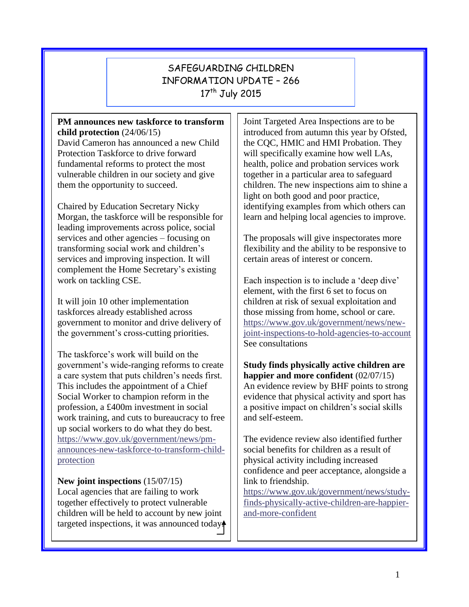## SAFEGUARDING CHILDREN INFORMATION UPDATE – 266 17<sup>th</sup> July 2015

#### **PM announces new taskforce to transform child protection** (24/06/15)

David Cameron has announced a new Child Protection Taskforce to drive forward fundamental reforms to protect the most vulnerable children in our society and give them the opportunity to succeed.

Chaired by Education Secretary Nicky Morgan, the taskforce will be responsible for leading improvements across police, social services and other agencies – focusing on transforming social work and children's services and improving inspection. It will complement the Home Secretary's existing work on tackling CSE.

It will join 10 other implementation taskforces already established across government to monitor and drive delivery of the government's cross-cutting priorities.

The taskforce's work will build on the government's wide-ranging reforms to create a care system that puts children's needs first. This includes the appointment of a Chief Social Worker to champion reform in the profession, a £400m investment in social work training, and cuts to bureaucracy to free up social workers to do what they do best. [https://www.gov.uk/government/news/pm](https://www.gov.uk/government/news/pm-announces-new-taskforce-to-transform-child-protection)[announces-new-taskforce-to-transform-child](https://www.gov.uk/government/news/pm-announces-new-taskforce-to-transform-child-protection)[protection](https://www.gov.uk/government/news/pm-announces-new-taskforce-to-transform-child-protection)

**New joint inspections** (15/07/15) Local agencies that are failing to work together effectively to protect vulnerable children will be held to account by new joint targeted inspections, it was announced today.

Joint Targeted Area Inspections are to be introduced from autumn this year by Ofsted, the CQC, HMIC and HMI Probation. They will specifically examine how well LAs, health, police and probation services work together in a particular area to safeguard children. The new inspections aim to shine a light on both good and poor practice, identifying examples from which others can learn and helping local agencies to improve.

The proposals will give inspectorates more flexibility and the ability to be responsive to certain areas of interest or concern.

Each inspection is to include a 'deep dive' element, with the first 6 set to focus on children at risk of sexual exploitation and those missing from home, school or care. [https://www.gov.uk/government/news/new](https://www.gov.uk/government/news/new-joint-inspections-to-hold-agencies-to-account)[joint-inspections-to-hold-agencies-to-account](https://www.gov.uk/government/news/new-joint-inspections-to-hold-agencies-to-account) See consultations

**Study finds physically active children are happier and more confident** (02/07/15) An evidence review by BHF points to strong evidence that physical activity and sport has a positive impact on children's social skills and self-esteem.

The evidence review also identified further social benefits for children as a result of physical activity including increased confidence and peer acceptance, alongside a link to friendship.

[https://www.gov.uk/government/news/study](https://www.gov.uk/government/news/study-finds-physically-active-children-are-happier-and-more-confident)[finds-physically-active-children-are-happier](https://www.gov.uk/government/news/study-finds-physically-active-children-are-happier-and-more-confident)[and-more-confident](https://www.gov.uk/government/news/study-finds-physically-active-children-are-happier-and-more-confident)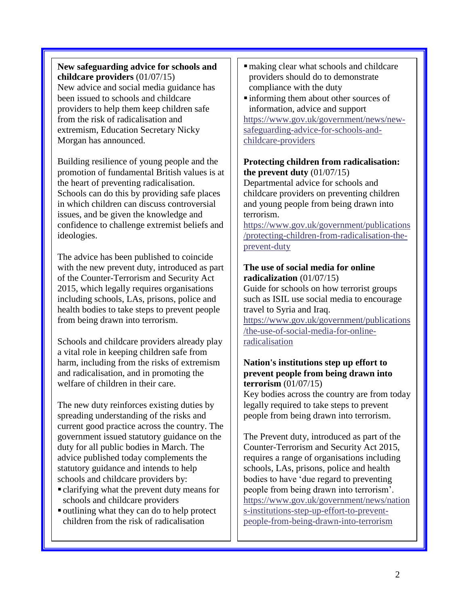## **New safeguarding advice for schools and childcare providers** (01/07/15)

New advice and social media guidance has been issued to schools and childcare providers to help them keep children safe from the risk of radicalisation and extremism, Education Secretary Nicky Morgan has announced.

Building resilience of young people and the promotion of fundamental British values is at the heart of preventing radicalisation. Schools can do this by providing safe places in which children can discuss controversial issues, and be given the knowledge and confidence to challenge extremist beliefs and ideologies.

The advice has been published to coincide with the new prevent duty, introduced as part of the Counter-Terrorism and Security Act 2015, which legally requires organisations including schools, LAs, prisons, police and health bodies to take steps to prevent people from being drawn into terrorism.

Schools and childcare providers already play a vital role in keeping children safe from harm, including from the risks of extremism and radicalisation, and in promoting the welfare of children in their care.

The new duty reinforces existing duties by spreading understanding of the risks and current good practice across the country. The government issued statutory guidance on the duty for all public bodies in March. The advice published today complements the statutory guidance and intends to help schools and childcare providers by:

- clarifying what the prevent duty means for schools and childcare providers
- outlining what they can do to help protect children from the risk of radicalisation
- making clear what schools and childcare providers should do to demonstrate compliance with the duty
- informing them about other sources of information, advice and support

[https://www.gov.uk/government/news/new](https://www.gov.uk/government/news/new-safeguarding-advice-for-schools-and-childcare-providers)[safeguarding-advice-for-schools-and](https://www.gov.uk/government/news/new-safeguarding-advice-for-schools-and-childcare-providers)[childcare-providers](https://www.gov.uk/government/news/new-safeguarding-advice-for-schools-and-childcare-providers)

## **Protecting children from radicalisation: the prevent duty** (01/07/15)

Departmental advice for schools and childcare providers on preventing children and young people from being drawn into terrorism.

[https://www.gov.uk/government/publications](https://www.gov.uk/government/publications/protecting-children-from-radicalisation-the-prevent-duty) [/protecting-children-from-radicalisation-the](https://www.gov.uk/government/publications/protecting-children-from-radicalisation-the-prevent-duty)[prevent-duty](https://www.gov.uk/government/publications/protecting-children-from-radicalisation-the-prevent-duty)

## **The use of social media for online radicalization** (01/07/15)

Guide for schools on how terrorist groups such as ISIL use social media to encourage travel to Syria and Iraq.

[https://www.gov.uk/government/publications](https://www.gov.uk/government/publications/the-use-of-social-media-for-online-radicalisation) [/the-use-of-social-media-for-online](https://www.gov.uk/government/publications/the-use-of-social-media-for-online-radicalisation)[radicalisation](https://www.gov.uk/government/publications/the-use-of-social-media-for-online-radicalisation)

## **Nation's institutions step up effort to prevent people from being drawn into terrorism** (01/07/15)

Key bodies across the country are from today legally required to take steps to prevent people from being drawn into terrorism.

The Prevent duty, introduced as part of the Counter-Terrorism and Security Act 2015, requires a range of organisations including schools, LAs, prisons, police and health bodies to have 'due regard to preventing people from being drawn into terrorism'. [https://www.gov.uk/government/news/nation](https://www.gov.uk/government/news/nations-institutions-step-up-effort-to-prevent-people-from-being-drawn-into-terrorism) [s-institutions-step-up-effort-to-prevent](https://www.gov.uk/government/news/nations-institutions-step-up-effort-to-prevent-people-from-being-drawn-into-terrorism)[people-from-being-drawn-into-terrorism](https://www.gov.uk/government/news/nations-institutions-step-up-effort-to-prevent-people-from-being-drawn-into-terrorism)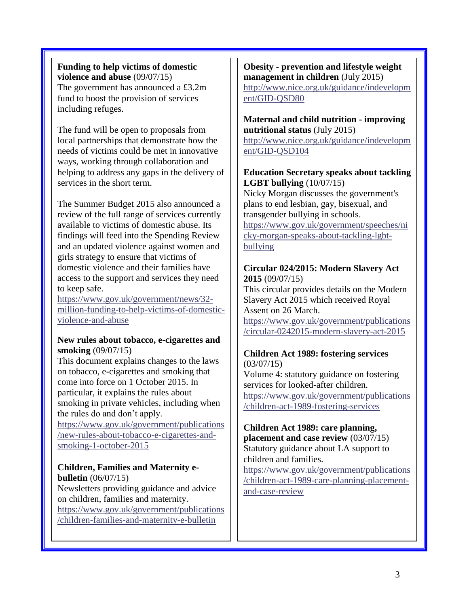## **Funding to help victims of domestic violence and abuse** (09/07/15)

The government has announced a £3.2m fund to boost the provision of services including refuges.

The fund will be open to proposals from local partnerships that demonstrate how the needs of victims could be met in innovative ways, working through collaboration and helping to address any gaps in the delivery of services in the short term.

The Summer Budget 2015 also announced a review of the full range of services currently available to victims of domestic abuse. Its findings will feed into the Spending Review and an updated violence against women and girls strategy to ensure that victims of domestic violence and their families have access to the support and services they need to keep safe.

[https://www.gov.uk/government/news/32](https://www.gov.uk/government/news/32-million-funding-to-help-victims-of-domestic-violence-and-abuse) [million-funding-to-help-victims-of-domestic](https://www.gov.uk/government/news/32-million-funding-to-help-victims-of-domestic-violence-and-abuse)[violence-and-abuse](https://www.gov.uk/government/news/32-million-funding-to-help-victims-of-domestic-violence-and-abuse)

#### **New rules about tobacco, e-cigarettes and smoking** (09/07/15)

This document explains changes to the laws on tobacco, e-cigarettes and smoking that come into force on 1 October 2015. In particular, it explains the rules about smoking in private vehicles, including when the rules do and don't apply.

[https://www.gov.uk/government/publications](https://www.gov.uk/government/publications/new-rules-about-tobacco-e-cigarettes-and-smoking-1-october-2015) [/new-rules-about-tobacco-e-cigarettes-and](https://www.gov.uk/government/publications/new-rules-about-tobacco-e-cigarettes-and-smoking-1-october-2015)[smoking-1-october-2015](https://www.gov.uk/government/publications/new-rules-about-tobacco-e-cigarettes-and-smoking-1-october-2015)

## **Children, Families and Maternity ebulletin** (06/07/15)

Newsletters providing guidance and advice on children, families and maternity. [https://www.gov.uk/government/publications](https://www.gov.uk/government/publications/children-families-and-maternity-e-bulletin) [/children-families-and-maternity-e-bulletin](https://www.gov.uk/government/publications/children-families-and-maternity-e-bulletin)

#### **Obesity - prevention and lifestyle weight management in children** (July 2015) [http://www.nice.org.uk/guidance/indevelopm](http://www.nice.org.uk/guidance/indevelopment/GID-QSD80)

[ent/GID-QSD80](http://www.nice.org.uk/guidance/indevelopment/GID-QSD80)

### **Maternal and child nutrition - improving nutritional status** (July 2015)

[http://www.nice.org.uk/guidance/indevelopm](http://www.nice.org.uk/guidance/indevelopment/GID-QSD104) [ent/GID-QSD104](http://www.nice.org.uk/guidance/indevelopment/GID-QSD104)

## **Education Secretary speaks about tackling LGBT bullying** (10/07/15)

Nicky Morgan discusses the government's plans to end lesbian, gay, bisexual, and transgender bullying in schools.

[https://www.gov.uk/government/speeches/ni](https://www.gov.uk/government/speeches/nicky-morgan-speaks-about-tackling-lgbt-bullying) [cky-morgan-speaks-about-tackling-lgbt](https://www.gov.uk/government/speeches/nicky-morgan-speaks-about-tackling-lgbt-bullying)[bullying](https://www.gov.uk/government/speeches/nicky-morgan-speaks-about-tackling-lgbt-bullying)

## **Circular 024/2015: Modern Slavery Act 2015** (09/07/15)

This circular provides details on the Modern Slavery Act 2015 which received Royal Assent on 26 March.

[https://www.gov.uk/government/publications](https://www.gov.uk/government/publications/circular-0242015-modern-slavery-act-2015) [/circular-0242015-modern-slavery-act-2015](https://www.gov.uk/government/publications/circular-0242015-modern-slavery-act-2015)

#### **Children Act 1989: fostering services**  $(03/07/15)$

Volume 4: statutory guidance on fostering services for looked-after children. [https://www.gov.uk/government/publications](https://www.gov.uk/government/publications/children-act-1989-fostering-services) [/children-act-1989-fostering-services](https://www.gov.uk/government/publications/children-act-1989-fostering-services)

# **Children Act 1989: care planning,**

**placement and case review** (03/07/15) Statutory guidance about LA support to children and families.

[https://www.gov.uk/government/publications](https://www.gov.uk/government/publications/children-act-1989-care-planning-placement-and-case-review) [/children-act-1989-care-planning-placement](https://www.gov.uk/government/publications/children-act-1989-care-planning-placement-and-case-review)[and-case-review](https://www.gov.uk/government/publications/children-act-1989-care-planning-placement-and-case-review)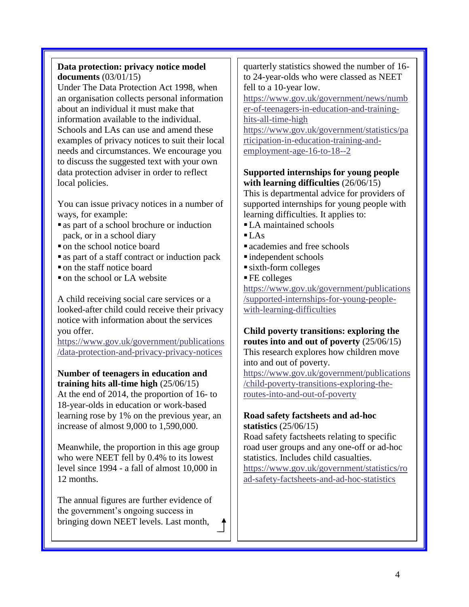## **Data protection: privacy notice model documents** (03/01/15)

Under The Data Protection Act 1998, when an organisation collects personal information about an individual it must make that information available to the individual. Schools and LAs can use and amend these examples of privacy notices to suit their local needs and circumstances. We encourage you to discuss the suggested text with your own data protection adviser in order to reflect local policies.

You can issue privacy notices in a number of ways, for example:

- as part of a school brochure or induction pack, or in a school diary
- on the school notice board
- as part of a staff contract or induction pack
- on the staff notice board
- on the school or LA website

A child receiving social care services or a looked-after child could receive their privacy notice with information about the services you offer.

[https://www.gov.uk/government/publications](https://www.gov.uk/government/publications/data-protection-and-privacy-privacy-notices) [/data-protection-and-privacy-privacy-notices](https://www.gov.uk/government/publications/data-protection-and-privacy-privacy-notices)

**Number of teenagers in education and training hits all-time high** (25/06/15)

At the end of 2014, the proportion of 16- to 18-year-olds in education or work-based learning rose by 1% on the previous year, an increase of almost 9,000 to 1,590,000.

Meanwhile, the proportion in this age group who were NEET fell by 0.4% to its lowest level since 1994 - a fall of almost 10,000 in 12 months.

The annual figures are further evidence of the government's ongoing success in bringing down NEET levels. Last month,

quarterly statistics showed the number of 16 to 24-year-olds who were classed as NEET fell to a 10-year low.

[https://www.gov.uk/government/news/numb](https://www.gov.uk/government/news/number-of-teenagers-in-education-and-training-hits-all-time-high) [er-of-teenagers-in-education-and-training](https://www.gov.uk/government/news/number-of-teenagers-in-education-and-training-hits-all-time-high)[hits-all-time-high](https://www.gov.uk/government/news/number-of-teenagers-in-education-and-training-hits-all-time-high)

[https://www.gov.uk/government/statistics/pa](https://www.gov.uk/government/statistics/participation-in-education-training-and-employment-age-16-to-18--2) [rticipation-in-education-training-and](https://www.gov.uk/government/statistics/participation-in-education-training-and-employment-age-16-to-18--2)[employment-age-16-to-18--2](https://www.gov.uk/government/statistics/participation-in-education-training-and-employment-age-16-to-18--2)

## **Supported internships for young people with learning difficulties** (26/06/15)

This is departmental advice for providers of supported internships for young people with learning difficulties. It applies to:

- LA maintained schools
- $\blacksquare$  LAs
- **a** academies and free schools
- independent schools
- sixth-form colleges
- FE colleges

[https://www.gov.uk/government/publications](https://www.gov.uk/government/publications/supported-internships-for-young-people-with-learning-difficulties) [/supported-internships-for-young-people](https://www.gov.uk/government/publications/supported-internships-for-young-people-with-learning-difficulties)[with-learning-difficulties](https://www.gov.uk/government/publications/supported-internships-for-young-people-with-learning-difficulties)

**Child poverty transitions: exploring the routes into and out of poverty** (25/06/15) This research explores how children move into and out of poverty.

[https://www.gov.uk/government/publications](https://www.gov.uk/government/publications/child-poverty-transitions-exploring-the-routes-into-and-out-of-poverty) [/child-poverty-transitions-exploring-the](https://www.gov.uk/government/publications/child-poverty-transitions-exploring-the-routes-into-and-out-of-poverty)[routes-into-and-out-of-poverty](https://www.gov.uk/government/publications/child-poverty-transitions-exploring-the-routes-into-and-out-of-poverty)

## **Road safety factsheets and ad-hoc statistics** (25/06/15)

Road safety factsheets relating to specific road user groups and any one-off or ad-hoc statistics. Includes child casualties.

[https://www.gov.uk/government/statistics/ro](https://www.gov.uk/government/statistics/road-safety-factsheets-and-ad-hoc-statistics) [ad-safety-factsheets-and-ad-hoc-statistics](https://www.gov.uk/government/statistics/road-safety-factsheets-and-ad-hoc-statistics)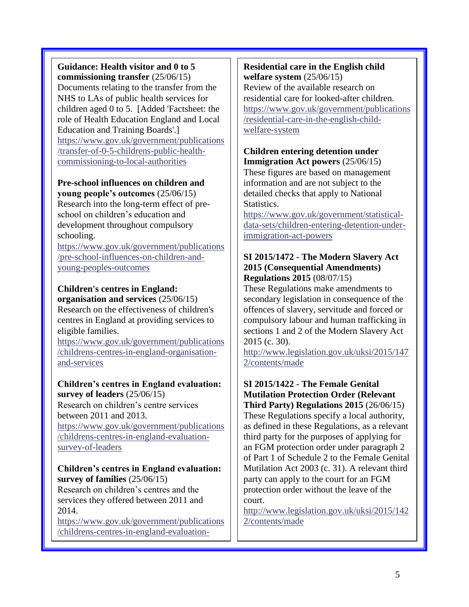**Guidance: Health visitor and 0 to 5 commissioning transfer** (25/06/15) Documents relating to the transfer from the NHS to LAs of public health services for children aged 0 to 5. [Added 'Factsheet: the role of Health Education England and Local Education and Training Boards'.] [https://www.gov.uk/government/publications](https://www.gov.uk/government/publications/transfer-of-0-5-childrens-public-health-commissioning-to-local-authorities) [/transfer-of-0-5-childrens-public-health](https://www.gov.uk/government/publications/transfer-of-0-5-childrens-public-health-commissioning-to-local-authorities)[commissioning-to-local-authorities](https://www.gov.uk/government/publications/transfer-of-0-5-childrens-public-health-commissioning-to-local-authorities)

#### **Pre-school influences on children and young people's outcomes** (25/06/15)

Research into the long-term effect of preschool on children's education and development throughout compulsory schooling.

[https://www.gov.uk/government/publications](https://www.gov.uk/government/publications/pre-school-influences-on-children-and-young-peoples-outcomes) [/pre-school-influences-on-children-and](https://www.gov.uk/government/publications/pre-school-influences-on-children-and-young-peoples-outcomes)[young-peoples-outcomes](https://www.gov.uk/government/publications/pre-school-influences-on-children-and-young-peoples-outcomes)

## **Children's centres in England:**

**organisation and services** (25/06/15) Research on the effectiveness of children's centres in England at providing services to eligible families.

[https://www.gov.uk/government/publications](https://www.gov.uk/government/publications/childrens-centres-in-england-organisation-and-services) [/childrens-centres-in-england-organisation](https://www.gov.uk/government/publications/childrens-centres-in-england-organisation-and-services)[and-services](https://www.gov.uk/government/publications/childrens-centres-in-england-organisation-and-services)

#### **Children's centres in England evaluation: survey of leaders** (25/06/15)

Research on children's centre services between 2011 and 2013. [https://www.gov.uk/government/publications](https://www.gov.uk/government/publications/childrens-centres-in-england-evaluation-survey-of-leaders) [/childrens-centres-in-england-evaluation](https://www.gov.uk/government/publications/childrens-centres-in-england-evaluation-survey-of-leaders)[survey-of-leaders](https://www.gov.uk/government/publications/childrens-centres-in-england-evaluation-survey-of-leaders)

#### **Children's centres in England evaluation: survey of families** (25/06/15) Research on children's centres and the services they offered between 2011 and 2014.

[https://www.gov.uk/government/publications](https://www.gov.uk/government/publications/childrens-centres-in-england-evaluation-survey-of-families) [/childrens-centres-in-england-evaluation-](https://www.gov.uk/government/publications/childrens-centres-in-england-evaluation-survey-of-families)

[survey-of-families](https://www.gov.uk/government/publications/childrens-centres-in-england-evaluation-survey-of-families)-families-families-families-families-families-families-families-families-families-families-f<br>Survey-of-families-families-families-families-families-families-families-families-families-families-families-f

**Residential care in the English child welfare system** (25/06/15) Review of the available research on residential care for looked-after children. [https://www.gov.uk/government/publications](https://www.gov.uk/government/publications/residential-care-in-the-english-child-welfare-system) [/residential-care-in-the-english-child](https://www.gov.uk/government/publications/residential-care-in-the-english-child-welfare-system)[welfare-system](https://www.gov.uk/government/publications/residential-care-in-the-english-child-welfare-system)

#### **Children entering detention under Immigration Act powers** (25/06/15)

These figures are based on management information and are not subject to the detailed checks that apply to National Statistics.

[https://www.gov.uk/government/statistical](https://www.gov.uk/government/statistical-data-sets/children-entering-detention-under-immigration-act-powers)[data-sets/children-entering-detention-under](https://www.gov.uk/government/statistical-data-sets/children-entering-detention-under-immigration-act-powers)[immigration-act-powers](https://www.gov.uk/government/statistical-data-sets/children-entering-detention-under-immigration-act-powers)

#### **SI 2015/1472 - The Modern Slavery Act 2015 (Consequential Amendments) Regulations 2015** (08/07/15)

These Regulations make amendments to secondary legislation in consequence of the offences of slavery, servitude and forced or compulsory labour and human trafficking in sections 1 and 2 of the Modern Slavery Act 2015 (c. 30).

[http://www.legislation.gov.uk/uksi/2015/147](http://www.legislation.gov.uk/uksi/2015/1472/contents/made) [2/contents/made](http://www.legislation.gov.uk/uksi/2015/1472/contents/made)

# **SI 2015/1422 - The Female Genital Mutilation Protection Order (Relevant**

**Third Party) Regulations 2015** (26/06/15) These Regulations specify a local authority, as defined in these Regulations, as a relevant third party for the purposes of applying for an FGM protection order under paragraph 2 of Part 1 of Schedule 2 to the Female Genital Mutilation Act 2003 (c. 31). A relevant third party can apply to the court for an FGM protection order without the leave of the court.

[http://www.legislation.gov.uk/uksi/2015/142](http://www.legislation.gov.uk/uksi/2015/1422/contents/made) [2/contents/made](http://www.legislation.gov.uk/uksi/2015/1422/contents/made)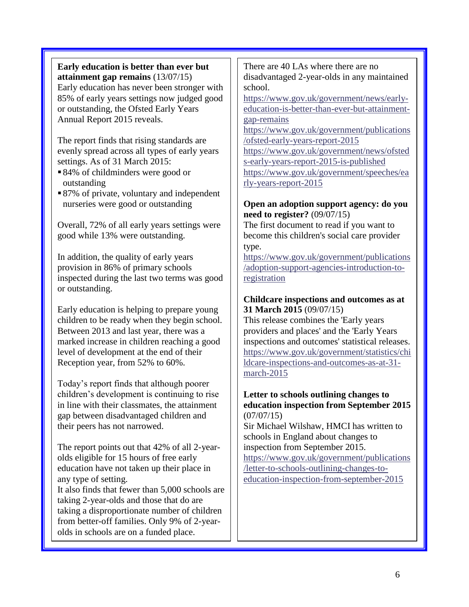#### **Early education is better than ever but attainment gap remains** (13/07/15) Early education has never been stronger with 85% of early years settings now judged good or outstanding, the Ofsted Early Years

Annual Report 2015 reveals.

The report finds that rising standards are evenly spread across all types of early years settings. As of 31 March 2015:

- ■84% of childminders were good or outstanding
- 87% of private, voluntary and independent nurseries were good or outstanding

Overall, 72% of all early years settings were good while 13% were outstanding.

In addition, the quality of early years provision in 86% of primary schools inspected during the last two terms was good or outstanding.

Early education is helping to prepare young children to be ready when they begin school. Between 2013 and last year, there was a marked increase in children reaching a good level of development at the end of their Reception year, from 52% to 60%.

Today's report finds that although poorer children's development is continuing to rise in line with their classmates, the attainment gap between disadvantaged children and their peers has not narrowed.

The report points out that 42% of all 2-yearolds eligible for 15 hours of free early education have not taken up their place in any type of setting. It also finds that fewer than 5,000 schools are

taking 2-year-olds and those that do are taking a disproportionate number of children from better-off families. Only 9% of 2-yearolds in schools are on a funded place.

There are 40 LAs where there are no disadvantaged 2-year-olds in any maintained school.

[https://www.gov.uk/government/news/early](https://www.gov.uk/government/news/early-education-is-better-than-ever-but-attainment-gap-remains)[education-is-better-than-ever-but-attainment](https://www.gov.uk/government/news/early-education-is-better-than-ever-but-attainment-gap-remains)[gap-remains](https://www.gov.uk/government/news/early-education-is-better-than-ever-but-attainment-gap-remains)

[https://www.gov.uk/government/publications](https://www.gov.uk/government/publications/ofsted-early-years-report-2015) [/ofsted-early-years-report-2015](https://www.gov.uk/government/publications/ofsted-early-years-report-2015) [https://www.gov.uk/government/news/ofsted](https://www.gov.uk/government/news/ofsteds-early-years-report-2015-is-published) [s-early-years-report-2015-is-published](https://www.gov.uk/government/news/ofsteds-early-years-report-2015-is-published) [https://www.gov.uk/government/speeches/ea](https://www.gov.uk/government/speeches/early-years-report-2015)

[rly-years-report-2015](https://www.gov.uk/government/speeches/early-years-report-2015)

### **Open an adoption support agency: do you need to register?** (09/07/15)

The first document to read if you want to become this children's social care provider type.

[https://www.gov.uk/government/publications](https://www.gov.uk/government/publications/adoption-support-agencies-introduction-to-registration) [/adoption-support-agencies-introduction-to](https://www.gov.uk/government/publications/adoption-support-agencies-introduction-to-registration)[registration](https://www.gov.uk/government/publications/adoption-support-agencies-introduction-to-registration)

### **Childcare inspections and outcomes as at 31 March 2015** (09/07/15)

This release combines the 'Early years providers and places' and the 'Early Years inspections and outcomes' statistical releases. [https://www.gov.uk/government/statistics/chi](https://www.gov.uk/government/statistics/childcare-inspections-and-outcomes-as-at-31-march-2015) [ldcare-inspections-and-outcomes-as-at-31](https://www.gov.uk/government/statistics/childcare-inspections-and-outcomes-as-at-31-march-2015) [march-2015](https://www.gov.uk/government/statistics/childcare-inspections-and-outcomes-as-at-31-march-2015)

#### **Letter to schools outlining changes to education inspection from September 2015**  $(07/07/15)$

Sir Michael Wilshaw, HMCI has written to schools in England about changes to inspection from September 2015. [https://www.gov.uk/government/publications](https://www.gov.uk/government/publications/letter-to-schools-outlining-changes-to-education-inspection-from-september-2015) [/letter-to-schools-outlining-changes-to](https://www.gov.uk/government/publications/letter-to-schools-outlining-changes-to-education-inspection-from-september-2015)[education-inspection-from-september-2015](https://www.gov.uk/government/publications/letter-to-schools-outlining-changes-to-education-inspection-from-september-2015)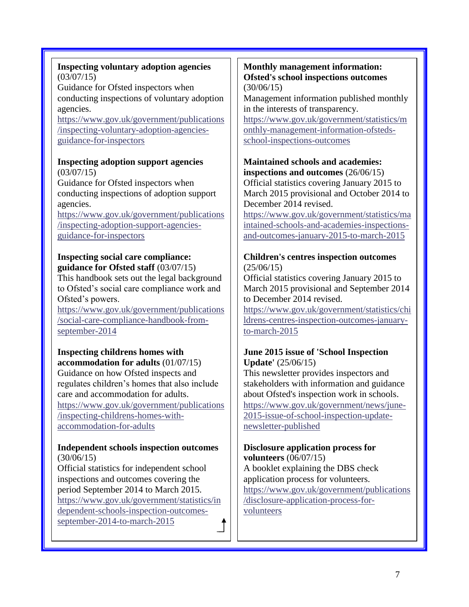## **Inspecting voluntary adoption agencies** (03/07/15)

Guidance for Ofsted inspectors when conducting inspections of voluntary adoption agencies.

[https://www.gov.uk/government/publications](https://www.gov.uk/government/publications/inspecting-voluntary-adoption-agencies-guidance-for-inspectors) [/inspecting-voluntary-adoption-agencies](https://www.gov.uk/government/publications/inspecting-voluntary-adoption-agencies-guidance-for-inspectors)[guidance-for-inspectors](https://www.gov.uk/government/publications/inspecting-voluntary-adoption-agencies-guidance-for-inspectors)

#### **Inspecting adoption support agencies** (03/07/15)

Guidance for Ofsted inspectors when conducting inspections of adoption support agencies.

[https://www.gov.uk/government/publications](https://www.gov.uk/government/publications/inspecting-adoption-support-agencies-guidance-for-inspectors) [/inspecting-adoption-support-agencies](https://www.gov.uk/government/publications/inspecting-adoption-support-agencies-guidance-for-inspectors)[guidance-for-inspectors](https://www.gov.uk/government/publications/inspecting-adoption-support-agencies-guidance-for-inspectors)

## **Inspecting social care compliance: guidance for Ofsted staff** (03/07/15)

This handbook sets out the legal background to Ofsted's social care compliance work and Ofsted's powers.

[https://www.gov.uk/government/publications](https://www.gov.uk/government/publications/social-care-compliance-handbook-from-september-2014) [/social-care-compliance-handbook-from](https://www.gov.uk/government/publications/social-care-compliance-handbook-from-september-2014)[september-2014](https://www.gov.uk/government/publications/social-care-compliance-handbook-from-september-2014)

# **Inspecting childrens homes with**

**accommodation for adults** (01/07/15) Guidance on how Ofsted inspects and regulates children's homes that also include care and accommodation for adults. [https://www.gov.uk/government/publications](https://www.gov.uk/government/publications/inspecting-childrens-homes-with-accommodation-for-adults) [/inspecting-childrens-homes-with](https://www.gov.uk/government/publications/inspecting-childrens-homes-with-accommodation-for-adults)[accommodation-for-adults](https://www.gov.uk/government/publications/inspecting-childrens-homes-with-accommodation-for-adults)

#### **Independent schools inspection outcomes** (30/06/15)

Official statistics for independent school inspections and outcomes covering the period September 2014 to March 2015. [https://www.gov.uk/government/statistics/in](https://www.gov.uk/government/statistics/independent-schools-inspection-outcomes-september-2014-to-march-2015) [dependent-schools-inspection-outcomes](https://www.gov.uk/government/statistics/independent-schools-inspection-outcomes-september-2014-to-march-2015)[september-2014-to-march-2015](https://www.gov.uk/government/statistics/independent-schools-inspection-outcomes-september-2014-to-march-2015)

#### **Monthly management information: Ofsted's school inspections outcomes** (30/06/15)

Management information published monthly in the interests of transparency.

[https://www.gov.uk/government/statistics/m](https://www.gov.uk/government/statistics/monthly-management-information-ofsteds-school-inspections-outcomes) [onthly-management-information-ofsteds](https://www.gov.uk/government/statistics/monthly-management-information-ofsteds-school-inspections-outcomes)[school-inspections-outcomes](https://www.gov.uk/government/statistics/monthly-management-information-ofsteds-school-inspections-outcomes)

### **Maintained schools and academies: inspections and outcomes** (26/06/15)

Official statistics covering January 2015 to March 2015 provisional and October 2014 to December 2014 revised.

[https://www.gov.uk/government/statistics/ma](https://www.gov.uk/government/statistics/maintained-schools-and-academies-inspections-and-outcomes-january-2015-to-march-2015) [intained-schools-and-academies-inspections](https://www.gov.uk/government/statistics/maintained-schools-and-academies-inspections-and-outcomes-january-2015-to-march-2015)[and-outcomes-january-2015-to-march-2015](https://www.gov.uk/government/statistics/maintained-schools-and-academies-inspections-and-outcomes-january-2015-to-march-2015)

## **Children's centres inspection outcomes**  $(25/06/15)$

Official statistics covering January 2015 to March 2015 provisional and September 2014 to December 2014 revised.

[https://www.gov.uk/government/statistics/chi](https://www.gov.uk/government/statistics/childrens-centres-inspection-outcomes-january-to-march-2015) [ldrens-centres-inspection-outcomes-january](https://www.gov.uk/government/statistics/childrens-centres-inspection-outcomes-january-to-march-2015)[to-march-2015](https://www.gov.uk/government/statistics/childrens-centres-inspection-outcomes-january-to-march-2015)

### **June 2015 issue of 'School Inspection Update'** (25/06/15)

This newsletter provides inspectors and stakeholders with information and guidance about Ofsted's inspection work in schools. [https://www.gov.uk/government/news/june-](https://www.gov.uk/government/news/june-2015-issue-of-school-inspection-update-newsletter-published)[2015-issue-of-school-inspection-update](https://www.gov.uk/government/news/june-2015-issue-of-school-inspection-update-newsletter-published)[newsletter-published](https://www.gov.uk/government/news/june-2015-issue-of-school-inspection-update-newsletter-published)

#### **Disclosure application process for volunteers** (06/07/15)

A booklet explaining the DBS check application process for volunteers. [https://www.gov.uk/government/publications](https://www.gov.uk/government/publications/disclosure-application-process-for-volunteers) [/disclosure-application-process-for](https://www.gov.uk/government/publications/disclosure-application-process-for-volunteers)[volunteers](https://www.gov.uk/government/publications/disclosure-application-process-for-volunteers)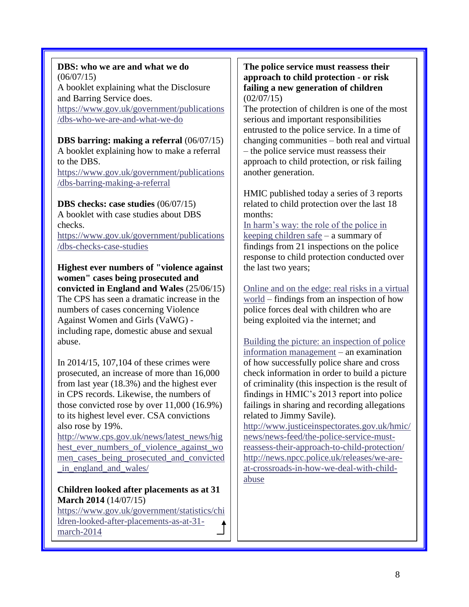**DBS: who we are and what we do** (06/07/15) A booklet explaining what the Disclosure and Barring Service does. [https://www.gov.uk/government/publications](https://www.gov.uk/government/publications/dbs-who-we-are-and-what-we-do) [/dbs-who-we-are-and-what-we-do](https://www.gov.uk/government/publications/dbs-who-we-are-and-what-we-do)

**DBS barring: making a referral** (06/07/15) A booklet explaining how to make a referral to the DBS.

[https://www.gov.uk/government/publications](https://www.gov.uk/government/publications/dbs-barring-making-a-referral) [/dbs-barring-making-a-referral](https://www.gov.uk/government/publications/dbs-barring-making-a-referral)

**DBS checks: case studies** (06/07/15)

A booklet with case studies about DBS checks. [https://www.gov.uk/government/publications](https://www.gov.uk/government/publications/dbs-checks-case-studies)

[/dbs-checks-case-studies](https://www.gov.uk/government/publications/dbs-checks-case-studies)

**Highest ever numbers of "violence against women" cases being prosecuted and convicted in England and Wales** (25/06/15) The CPS has seen a dramatic increase in the numbers of cases concerning Violence Against Women and Girls (VaWG) including rape, domestic abuse and sexual abuse.

In 2014/15, 107,104 of these crimes were prosecuted, an increase of more than 16,000 from last year (18.3%) and the highest ever in CPS records. Likewise, the numbers of those convicted rose by over 11,000 (16.9%) to its highest level ever. CSA convictions also rose by 19%.

[http://www.cps.gov.uk/news/latest\\_news/hig](http://www.cps.gov.uk/news/latest_news/highest_ever_numbers_of_violence_against_women_cases_being_prosecuted_and_convicted_in_england_and_wales/) hest ever numbers of violence against wo [men\\_cases\\_being\\_prosecuted\\_and\\_convicted](http://www.cps.gov.uk/news/latest_news/highest_ever_numbers_of_violence_against_women_cases_being_prosecuted_and_convicted_in_england_and_wales/) in england and wales/

## **Children looked after placements as at 31 March 2014** (14/07/15)

[https://www.gov.uk/government/statistics/chi](https://www.gov.uk/government/statistics/children-looked-after-placements-as-at-31-march-2014) [ldren-looked-after-placements-as-at-31](https://www.gov.uk/government/statistics/children-looked-after-placements-as-at-31-march-2014) [march-2014](https://www.gov.uk/government/statistics/children-looked-after-placements-as-at-31-march-2014)

**The police service must reassess their approach to child protection - or risk failing a new generation of children**  $(02/07/15)$ 

The protection of children is one of the most serious and important responsibilities entrusted to the police service. In a time of changing communities – both real and virtual – the police service must reassess their approach to child protection, or risk failing another generation.

HMIC published today a series of 3 reports related to child protection over the last 18 months:

[In harm's way: the role of the police in](http://www.justiceinspectorates.gov.uk/hmic/publications/in-harms-way-the-role-of-the-police-in-keeping-children-safe)  [keeping children safe](http://www.justiceinspectorates.gov.uk/hmic/publications/in-harms-way-the-role-of-the-police-in-keeping-children-safe) – a summary of findings from 21 inspections on the police response to child protection conducted over the last two years;

[Online and on the edge: real risks in a virtual](http://www.justiceinspectorates.gov.uk/hmic/publications/online-and-on-the-edge-real-risks-in-a-virtual-world)  [world](http://www.justiceinspectorates.gov.uk/hmic/publications/online-and-on-the-edge-real-risks-in-a-virtual-world) – findings from an inspection of how police forces deal with children who are being exploited via the internet; and

[Building the picture: an inspection of police](http://www.justiceinspectorates.gov.uk/hmic/publications/building-picture-an-inspection-of-police-information-management)  [information management](http://www.justiceinspectorates.gov.uk/hmic/publications/building-picture-an-inspection-of-police-information-management) – an examination of how successfully police share and cross check information in order to build a picture of criminality (this inspection is the result of findings in HMIC's 2013 report into police failings in sharing and recording allegations related to Jimmy Savile).

[http://www.justiceinspectorates.gov.uk/hmic/](http://www.justiceinspectorates.gov.uk/hmic/news/news-feed/the-police-service-must-reassess-their-approach-to-child-protection/) [news/news-feed/the-police-service-must](http://www.justiceinspectorates.gov.uk/hmic/news/news-feed/the-police-service-must-reassess-their-approach-to-child-protection/)[reassess-their-approach-to-child-protection/](http://www.justiceinspectorates.gov.uk/hmic/news/news-feed/the-police-service-must-reassess-their-approach-to-child-protection/) [http://news.npcc.police.uk/releases/we-are](http://news.npcc.police.uk/releases/we-are-at-crossroads-in-how-we-deal-with-child-abuse)[at-crossroads-in-how-we-deal-with-child](http://news.npcc.police.uk/releases/we-are-at-crossroads-in-how-we-deal-with-child-abuse)[abuse](http://news.npcc.police.uk/releases/we-are-at-crossroads-in-how-we-deal-with-child-abuse)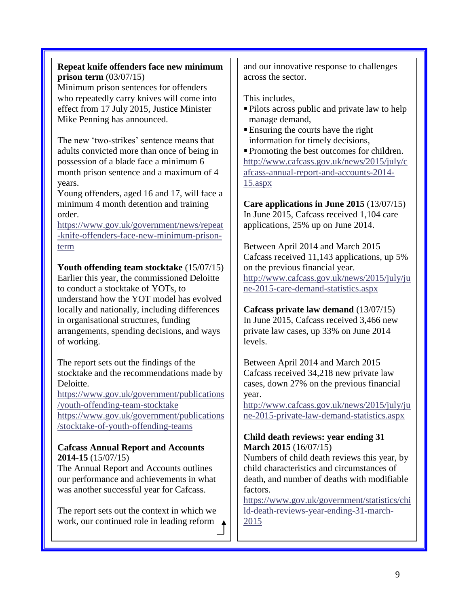## **Repeat knife offenders face new minimum prison term** (03/07/15)

Minimum prison sentences for offenders who repeatedly carry knives will come into effect from 17 July 2015, Justice Minister Mike Penning has announced.

The new 'two-strikes' sentence means that adults convicted more than once of being in possession of a blade face a minimum 6 month prison sentence and a maximum of 4 years.

Young offenders, aged 16 and 17, will face a minimum 4 month detention and training order.

[https://www.gov.uk/government/news/repeat](https://www.gov.uk/government/news/repeat-knife-offenders-face-new-minimum-prison-term) [-knife-offenders-face-new-minimum-prison](https://www.gov.uk/government/news/repeat-knife-offenders-face-new-minimum-prison-term)[term](https://www.gov.uk/government/news/repeat-knife-offenders-face-new-minimum-prison-term)

**Youth offending team stocktake** (15/07/15) Earlier this year, the commissioned Deloitte to conduct a stocktake of YOTs, to understand how the YOT model has evolved locally and nationally, including differences in organisational structures, funding arrangements, spending decisions, and ways of working.

The report sets out the findings of the stocktake and the recommendations made by Deloitte.

[https://www.gov.uk/government/publications](https://www.gov.uk/government/publications/youth-offending-team-stocktake) [/youth-offending-team-stocktake](https://www.gov.uk/government/publications/youth-offending-team-stocktake) [https://www.gov.uk/government/publications](https://www.gov.uk/government/publications/stocktake-of-youth-offending-teams) [/stocktake-of-youth-offending-teams](https://www.gov.uk/government/publications/stocktake-of-youth-offending-teams)

### **Cafcass Annual Report and Accounts 2014-15** (15/07/15)

The Annual Report and Accounts outlines our performance and achievements in what was another successful year for Cafcass.

The report sets out the context in which we work, our continued role in leading reform  $\triangle$  and our innovative response to challenges across the sector.

This includes,

- Pilots across public and private law to help manage demand,
- Ensuring the courts have the right information for timely decisions,

Promoting the best outcomes for children. [http://www.cafcass.gov.uk/news/2015/july/c](http://www.cafcass.gov.uk/news/2015/july/cafcass-annual-report-and-accounts-2014-15.aspx) [afcass-annual-report-and-accounts-2014-](http://www.cafcass.gov.uk/news/2015/july/cafcass-annual-report-and-accounts-2014-15.aspx) [15.aspx](http://www.cafcass.gov.uk/news/2015/july/cafcass-annual-report-and-accounts-2014-15.aspx)

**Care applications in June 2015** (13/07/15) In June 2015, Cafcass received 1,104 care applications, 25% up on June 2014.

Between April 2014 and March 2015 Cafcass received 11,143 applications, up 5% on the previous financial year. [http://www.cafcass.gov.uk/news/2015/july/ju](http://www.cafcass.gov.uk/news/2015/july/june-2015-care-demand-statistics.aspx) [ne-2015-care-demand-statistics.aspx](http://www.cafcass.gov.uk/news/2015/july/june-2015-care-demand-statistics.aspx)

**Cafcass private law demand** (13/07/15) In June 2015, Cafcass received 3,466 new private law cases, up 33% on June 2014 levels.

Between April 2014 and March 2015 Cafcass received 34,218 new private law cases, down 27% on the previous financial year.

[http://www.cafcass.gov.uk/news/2015/july/ju](http://www.cafcass.gov.uk/news/2015/july/june-2015-private-law-demand-statistics.aspx) [ne-2015-private-law-demand-statistics.aspx](http://www.cafcass.gov.uk/news/2015/july/june-2015-private-law-demand-statistics.aspx)

## **Child death reviews: year ending 31 March 2015** (16/07/15)

Numbers of child death reviews this year, by child characteristics and circumstances of death, and number of deaths with modifiable factors.

[https://www.gov.uk/government/statistics/chi](https://www.gov.uk/government/statistics/child-death-reviews-year-ending-31-march-2015) [ld-death-reviews-year-ending-31-march-](https://www.gov.uk/government/statistics/child-death-reviews-year-ending-31-march-2015)[2015](https://www.gov.uk/government/statistics/child-death-reviews-year-ending-31-march-2015)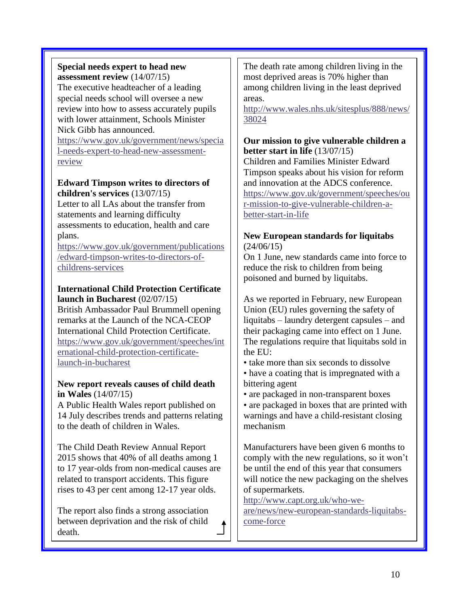## **Special needs expert to head new assessment review** (14/07/15)

The executive headteacher of a leading special needs school will oversee a new review into how to assess accurately pupils with lower attainment, Schools Minister Nick Gibb has announced.

[https://www.gov.uk/government/news/specia](https://www.gov.uk/government/news/special-needs-expert-to-head-new-assessment-review) [l-needs-expert-to-head-new-assessment](https://www.gov.uk/government/news/special-needs-expert-to-head-new-assessment-review)[review](https://www.gov.uk/government/news/special-needs-expert-to-head-new-assessment-review)

## **Edward Timpson writes to directors of children's services** (13/07/15)

Letter to all LAs about the transfer from statements and learning difficulty assessments to education, health and care plans.

[https://www.gov.uk/government/publications](https://www.gov.uk/government/publications/edward-timpson-writes-to-directors-of-childrens-services) [/edward-timpson-writes-to-directors-of](https://www.gov.uk/government/publications/edward-timpson-writes-to-directors-of-childrens-services)[childrens-services](https://www.gov.uk/government/publications/edward-timpson-writes-to-directors-of-childrens-services)

#### **International Child Protection Certificate launch in Bucharest** (02/07/15)

British Ambassador Paul Brummell opening remarks at the Launch of the NCA-CEOP International Child Protection Certificate. [https://www.gov.uk/government/speeches/int](https://www.gov.uk/government/speeches/international-child-protection-certificate-launch-in-bucharest) [ernational-child-protection-certificate](https://www.gov.uk/government/speeches/international-child-protection-certificate-launch-in-bucharest)[launch-in-bucharest](https://www.gov.uk/government/speeches/international-child-protection-certificate-launch-in-bucharest)

## **New report reveals causes of child death in Wales** (14/07/15)

A Public Health Wales report published on 14 July describes trends and patterns relating to the death of children in Wales.

The Child Death Review Annual Report 2015 shows that 40% of all deaths among 1 to 17 year-olds from non-medical causes are related to transport accidents. This figure rises to 43 per cent among 12-17 year olds.

The report also finds a strong association between deprivation and the risk of child death.

The death rate among children living in the most deprived areas is 70% higher than among children living in the least deprived areas.

[http://www.wales.nhs.uk/sitesplus/888/news/](http://www.wales.nhs.uk/sitesplus/888/news/38024) [38024](http://www.wales.nhs.uk/sitesplus/888/news/38024)

## **Our mission to give vulnerable children a better start in life** (13/07/15)

Children and Families Minister Edward Timpson speaks about his vision for reform and innovation at the ADCS conference. [https://www.gov.uk/government/speeches/ou](https://www.gov.uk/government/speeches/our-mission-to-give-vulnerable-children-a-better-start-in-life) [r-mission-to-give-vulnerable-children-a](https://www.gov.uk/government/speeches/our-mission-to-give-vulnerable-children-a-better-start-in-life)[better-start-in-life](https://www.gov.uk/government/speeches/our-mission-to-give-vulnerable-children-a-better-start-in-life)

## **New European standards for liquitabs** (24/06/15)

On 1 June, new standards came into force to reduce the risk to children from being poisoned and burned by liquitabs.

As we reported in February, new European Union (EU) rules governing the safety of liquitabs – laundry detergent capsules – and their packaging came into effect on 1 June. The regulations require that liquitabs sold in the EU:

- take more than six seconds to dissolve
- have a coating that is impregnated with a bittering agent
- are packaged in non-transparent boxes
- are packaged in boxes that are printed with warnings and have a child-resistant closing mechanism

Manufacturers have been given 6 months to comply with the new regulations, so it won't be until the end of this year that consumers will notice the new packaging on the shelves of supermarkets.

[http://www.capt.org.uk/who-we-](http://www.capt.org.uk/who-we-are/news/new-european-standards-liquitabs-come-force)

[are/news/new-european-standards-liquitabs](http://www.capt.org.uk/who-we-are/news/new-european-standards-liquitabs-come-force)[come-force](http://www.capt.org.uk/who-we-are/news/new-european-standards-liquitabs-come-force)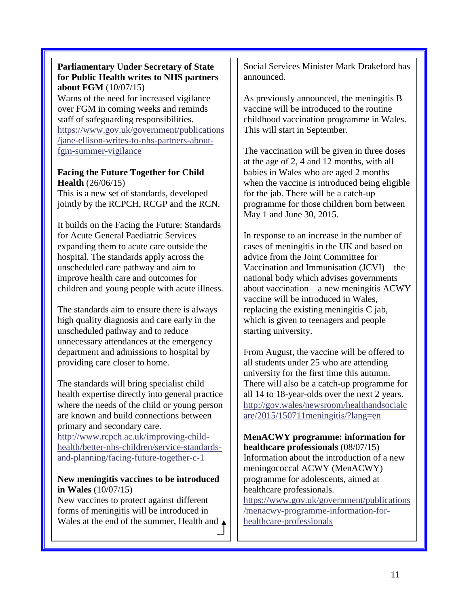#### **Parliamentary Under Secretary of State for Public Health writes to NHS partners about FGM** (10/07/15)

Warns of the need for increased vigilance over FGM in coming weeks and reminds staff of safeguarding responsibilities. [https://www.gov.uk/government/publications](https://www.gov.uk/government/publications/jane-ellison-writes-to-nhs-partners-about-fgm-summer-vigilance) [/jane-ellison-writes-to-nhs-partners-about](https://www.gov.uk/government/publications/jane-ellison-writes-to-nhs-partners-about-fgm-summer-vigilance)[fgm-summer-vigilance](https://www.gov.uk/government/publications/jane-ellison-writes-to-nhs-partners-about-fgm-summer-vigilance)

## **Facing the Future Together for Child Health** (26/06/15)

This is a new set of standards, developed jointly by the RCPCH, RCGP and the RCN.

It builds on the Facing the Future: Standards for Acute General Paediatric Services expanding them to acute care outside the hospital. The standards apply across the unscheduled care pathway and aim to improve health care and outcomes for children and young people with acute illness.

The standards aim to ensure there is always high quality diagnosis and care early in the unscheduled pathway and to reduce unnecessary attendances at the emergency department and admissions to hospital by providing care closer to home.

The standards will bring specialist child health expertise directly into general practice where the needs of the child or young person are known and build connections between primary and secondary care.

[http://www.rcpch.ac.uk/improving-child](http://www.rcpch.ac.uk/improving-child-health/better-nhs-children/service-standards-and-planning/facing-future-together-c-1)[health/better-nhs-children/service-standards](http://www.rcpch.ac.uk/improving-child-health/better-nhs-children/service-standards-and-planning/facing-future-together-c-1)[and-planning/facing-future-together-c-1](http://www.rcpch.ac.uk/improving-child-health/better-nhs-children/service-standards-and-planning/facing-future-together-c-1)

### **New meningitis vaccines to be introduced in Wales** (10/07/15)

New vaccines to protect against different forms of meningitis will be introduced in Wales at the end of the summer, Health and  $\triangle$  Social Services Minister Mark Drakeford has announced.

As previously announced, the meningitis B vaccine will be introduced to the routine childhood vaccination programme in Wales. This will start in September.

The vaccination will be given in three doses at the age of 2, 4 and 12 months, with all babies in Wales who are aged 2 months when the vaccine is introduced being eligible for the jab. There will be a catch-up programme for those children born between May 1 and June 30, 2015.

In response to an increase in the number of cases of meningitis in the UK and based on advice from the Joint Committee for Vaccination and Immunisation (JCVI) – the national body which advises governments about vaccination – a new meningitis ACWY vaccine will be introduced in Wales, replacing the existing meningitis C jab, which is given to teenagers and people starting university.

From August, the vaccine will be offered to all students under 25 who are attending university for the first time this autumn. There will also be a catch-up programme for all 14 to 18-year-olds over the next 2 years. [http://gov.wales/newsroom/healthandsocialc](http://gov.wales/newsroom/healthandsocialcare/2015/150711meningitis/?lang=en) [are/2015/150711meningitis/?lang=en](http://gov.wales/newsroom/healthandsocialcare/2015/150711meningitis/?lang=en)

**MenACWY programme: information for healthcare professionals** (08/07/15) Information about the introduction of a new meningococcal ACWY (MenACWY) programme for adolescents, aimed at healthcare professionals. [https://www.gov.uk/government/publications](https://www.gov.uk/government/publications/menacwy-programme-information-for-healthcare-professionals) [/menacwy-programme-information-for](https://www.gov.uk/government/publications/menacwy-programme-information-for-healthcare-professionals)[healthcare-professionals](https://www.gov.uk/government/publications/menacwy-programme-information-for-healthcare-professionals)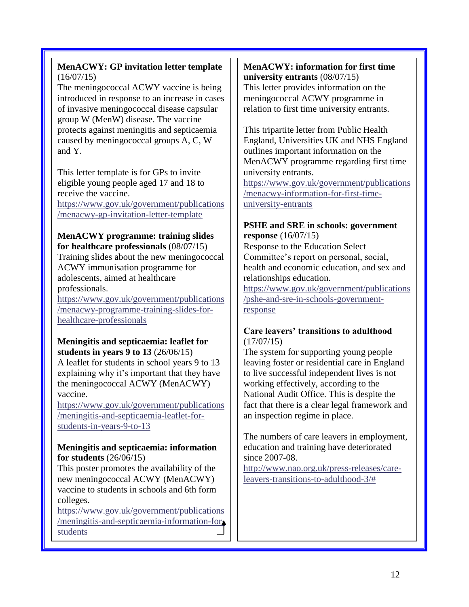## **MenACWY: GP invitation letter template**  $(16/07/15)$

The meningococcal ACWY vaccine is being introduced in response to an increase in cases of invasive meningococcal disease capsular group W (MenW) disease. The vaccine protects against meningitis and septicaemia caused by meningococcal groups A, C, W and Y.

This letter template is for GPs to invite eligible young people aged 17 and 18 to receive the vaccine.

[https://www.gov.uk/government/publications](https://www.gov.uk/government/publications/menacwy-gp-invitation-letter-template) [/menacwy-gp-invitation-letter-template](https://www.gov.uk/government/publications/menacwy-gp-invitation-letter-template)

#### **MenACWY programme: training slides for healthcare professionals** (08/07/15)

Training slides about the new meningococcal ACWY immunisation programme for adolescents, aimed at healthcare professionals.

[https://www.gov.uk/government/publications](https://www.gov.uk/government/publications/menacwy-programme-training-slides-for-healthcare-professionals) [/menacwy-programme-training-slides-for](https://www.gov.uk/government/publications/menacwy-programme-training-slides-for-healthcare-professionals)[healthcare-professionals](https://www.gov.uk/government/publications/menacwy-programme-training-slides-for-healthcare-professionals)

### **Meningitis and septicaemia: leaflet for students in years 9 to 13** (26/06/15)

A leaflet for students in school years 9 to 13 explaining why it's important that they have the meningococcal ACWY (MenACWY) vaccine.

[https://www.gov.uk/government/publications](https://www.gov.uk/government/publications/meningitis-and-septicaemia-leaflet-for-students-in-years-9-to-13) [/meningitis-and-septicaemia-leaflet-for](https://www.gov.uk/government/publications/meningitis-and-septicaemia-leaflet-for-students-in-years-9-to-13)[students-in-years-9-to-13](https://www.gov.uk/government/publications/meningitis-and-septicaemia-leaflet-for-students-in-years-9-to-13)

### **Meningitis and septicaemia: information for students** (26/06/15)

This poster promotes the availability of the new meningococcal ACWY (MenACWY) vaccine to students in schools and 6th form colleges.

[https://www.gov.uk/government/publications](https://www.gov.uk/government/publications/meningitis-and-septicaemia-information-for-students) [/meningitis-and-septicaemia-information-for](https://www.gov.uk/government/publications/meningitis-and-septicaemia-information-for-students)[students](https://www.gov.uk/government/publications/meningitis-and-septicaemia-information-for-students)

#### **MenACWY: information for first time university entrants** (08/07/15)

This letter provides information on the meningococcal ACWY programme in relation to first time university entrants.

This tripartite letter from Public Health England, Universities UK and NHS England outlines important information on the MenACWY programme regarding first time university entrants. [https://www.gov.uk/government/publications](https://www.gov.uk/government/publications/menacwy-information-for-first-time-university-entrants) [/menacwy-information-for-first-time](https://www.gov.uk/government/publications/menacwy-information-for-first-time-university-entrants)[university-entrants](https://www.gov.uk/government/publications/menacwy-information-for-first-time-university-entrants)

#### **PSHE and SRE in schools: government response** (16/07/15)

Response to the Education Select Committee's report on personal, social, health and economic education, and sex and relationships education.

[https://www.gov.uk/government/publications](https://www.gov.uk/government/publications/pshe-and-sre-in-schools-government-response) [/pshe-and-sre-in-schools-government](https://www.gov.uk/government/publications/pshe-and-sre-in-schools-government-response)[response](https://www.gov.uk/government/publications/pshe-and-sre-in-schools-government-response)

### **Care leavers' transitions to adulthood**  $(17/07/15)$

The system for supporting young people leaving foster or residential care in England to live successful independent lives is not working effectively, according to the National Audit Office. This is despite the fact that there is a clear legal framework and an inspection regime in place.

The numbers of care leavers in employment, education and training have deteriorated since 2007-08.

[http://www.nao.org.uk/press-releases/care](http://www.nao.org.uk/press-releases/care-leavers-transitions-to-adulthood-3/)[leavers-transitions-to-adulthood-3/#](http://www.nao.org.uk/press-releases/care-leavers-transitions-to-adulthood-3/)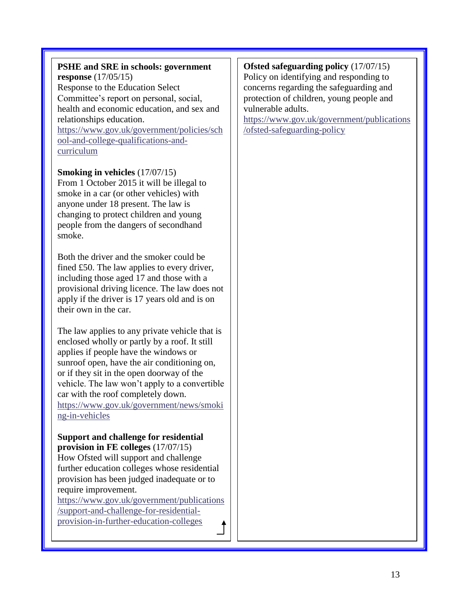### **PSHE and SRE in schools: government response** (17/05/15)

Response to the Education Select Committee's report on personal, social, health and economic education, and sex and relationships education.

[https://www.gov.uk/government/policies/sch](https://www.gov.uk/government/policies/school-and-college-qualifications-and-curriculum) [ool-and-college-qualifications-and](https://www.gov.uk/government/policies/school-and-college-qualifications-and-curriculum)[curriculum](https://www.gov.uk/government/policies/school-and-college-qualifications-and-curriculum)

**Smoking in vehicles** (17/07/15)

From 1 October 2015 it will be illegal to smoke in a car (or other vehicles) with anyone under 18 present. The law is changing to protect children and young people from the dangers of secondhand smoke.

Both the driver and the smoker could be fined £50. The law applies to every driver, including those aged 17 and those with a provisional driving licence. The law does not apply if the driver is 17 years old and is on their own in the car.

The law applies to any private vehicle that is enclosed wholly or partly by a roof. It still applies if people have the windows or sunroof open, have the air conditioning on, or if they sit in the open doorway of the vehicle. The law won't apply to a convertible car with the roof completely down. [https://www.gov.uk/government/news/smoki](https://www.gov.uk/government/news/smoking-in-vehicles) [ng-in-vehicles](https://www.gov.uk/government/news/smoking-in-vehicles)

#### **Support and challenge for residential provision in FE colleges** (17/07/15)

How Ofsted will support and challenge further education colleges whose residential provision has been judged inadequate or to require improvement.

[https://www.gov.uk/government/publications](https://www.gov.uk/government/publications/support-and-challenge-for-residential-provision-in-further-education-colleges) [/support-and-challenge-for-residential](https://www.gov.uk/government/publications/support-and-challenge-for-residential-provision-in-further-education-colleges)[provision-in-further-education-colleges](https://www.gov.uk/government/publications/support-and-challenge-for-residential-provision-in-further-education-colleges)

#### **Ofsted safeguarding policy** (17/07/15) Policy on identifying and responding to concerns regarding the safeguarding and protection of children, young people and vulnerable adults.

[https://www.gov.uk/government/publications](https://www.gov.uk/government/publications/ofsted-safeguarding-policy) [/ofsted-safeguarding-policy](https://www.gov.uk/government/publications/ofsted-safeguarding-policy)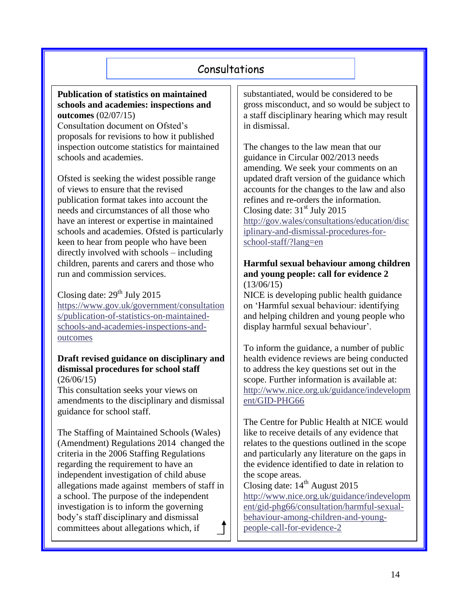# Consultations

**Publication of statistics on maintained schools and academies: inspections and outcomes** (02/07/15)

Consultation document on Ofsted's proposals for revisions to how it published inspection outcome statistics for maintained schools and academies.

Ofsted is seeking the widest possible range of views to ensure that the revised publication format takes into account the needs and circumstances of all those who have an interest or expertise in maintained schools and academies. Ofsted is particularly keen to hear from people who have been directly involved with schools – including children, parents and carers and those who run and commission services.

Closing date:  $29<sup>th</sup>$  July 2015 [https://www.gov.uk/government/consultation](https://www.gov.uk/government/consultations/publication-of-statistics-on-maintained-schools-and-academies-inspections-and-outcomes) [s/publication-of-statistics-on-maintained](https://www.gov.uk/government/consultations/publication-of-statistics-on-maintained-schools-and-academies-inspections-and-outcomes)[schools-and-academies-inspections-and](https://www.gov.uk/government/consultations/publication-of-statistics-on-maintained-schools-and-academies-inspections-and-outcomes)[outcomes](https://www.gov.uk/government/consultations/publication-of-statistics-on-maintained-schools-and-academies-inspections-and-outcomes)

#### **Draft revised guidance on disciplinary and dismissal procedures for school staff** (26/06/15)

This consultation seeks your views on amendments to the disciplinary and dismissal guidance for school staff.

The Staffing of Maintained Schools (Wales) (Amendment) Regulations 2014 changed the criteria in the 2006 Staffing Regulations regarding the requirement to have an independent investigation of child abuse allegations made against members of staff in a school. The purpose of the independent investigation is to inform the governing body's staff disciplinary and dismissal committees about allegations which, if

substantiated, would be considered to be gross misconduct, and so would be subject to a staff disciplinary hearing which may result in dismissal.

The changes to the law mean that our guidance in Circular 002/2013 needs amending. We seek your comments on an updated draft version of the guidance which accounts for the changes to the law and also refines and re-orders the information. Closing date:  $31<sup>st</sup>$  July 2015 [http://gov.wales/consultations/education/disc](http://gov.wales/consultations/education/disciplinary-and-dismissal-procedures-for-school-staff/?lang=en) [iplinary-and-dismissal-procedures-for](http://gov.wales/consultations/education/disciplinary-and-dismissal-procedures-for-school-staff/?lang=en)[school-staff/?lang=en](http://gov.wales/consultations/education/disciplinary-and-dismissal-procedures-for-school-staff/?lang=en)

#### **Harmful sexual behaviour among children and young people: call for evidence 2**  $(13/06/15)$

NICE is developing public health guidance on 'Harmful sexual behaviour: identifying and helping children and young people who display harmful sexual behaviour'.

To inform the guidance, a number of public health evidence reviews are being conducted to address the key questions set out in the scope. Further information is available at: [http://www.nice.org.uk/guidance/indevelopm](http://www.nice.org.uk/guidance/indevelopment/GID-PHG66) [ent/GID-PHG66](http://www.nice.org.uk/guidance/indevelopment/GID-PHG66)

The Centre for Public Health at NICE would like to receive details of any evidence that relates to the questions outlined in the scope and particularly any literature on the gaps in the evidence identified to date in relation to the scope areas.

Closing date:  $14<sup>th</sup>$  August 2015 [http://www.nice.org.uk/guidance/indevelopm](http://www.nice.org.uk/guidance/indevelopment/gid-phg66/consultation/harmful-sexual-behaviour-among-children-and-young-people-call-for-evidence-2) [ent/gid-phg66/consultation/harmful-sexual](http://www.nice.org.uk/guidance/indevelopment/gid-phg66/consultation/harmful-sexual-behaviour-among-children-and-young-people-call-for-evidence-2)[behaviour-among-children-and-young](http://www.nice.org.uk/guidance/indevelopment/gid-phg66/consultation/harmful-sexual-behaviour-among-children-and-young-people-call-for-evidence-2)[people-call-for-evidence-2](http://www.nice.org.uk/guidance/indevelopment/gid-phg66/consultation/harmful-sexual-behaviour-among-children-and-young-people-call-for-evidence-2)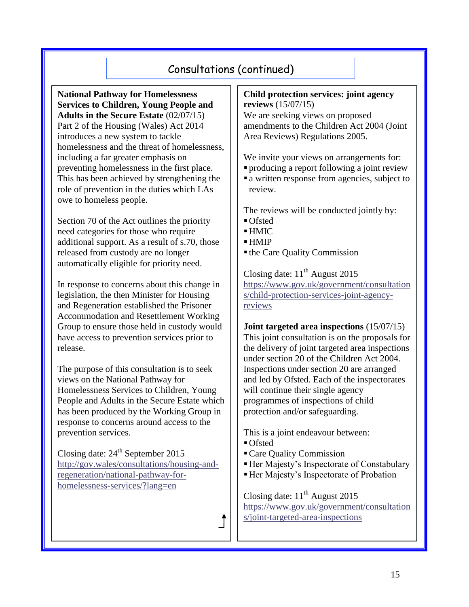# Consultations (continued)

**National Pathway for Homelessness Services to Children, Young People and Adults in the Secure Estate** (02/07/15) Part 2 of the Housing (Wales) Act 2014 introduces a new system to tackle homelessness and the threat of homelessness, including a far greater emphasis on preventing homelessness in the first place. This has been achieved by strengthening the role of prevention in the duties which LAs owe to homeless people.

Section 70 of the Act outlines the priority need categories for those who require additional support. As a result of s.70, those released from custody are no longer automatically eligible for priority need.

In response to concerns about this change in legislation, the then Minister for Housing and Regeneration established the Prisoner Accommodation and Resettlement Working Group to ensure those held in custody would have access to prevention services prior to release.

The purpose of this consultation is to seek views on the National Pathway for Homelessness Services to Children, Young People and Adults in the Secure Estate which has been produced by the Working Group in response to concerns around access to the prevention services.

Closing date:  $24<sup>th</sup>$  September 2015 [http://gov.wales/consultations/housing-and](http://gov.wales/consultations/housing-and-regeneration/national-pathway-for-homelessness-services/?lang=en)[regeneration/national-pathway-for](http://gov.wales/consultations/housing-and-regeneration/national-pathway-for-homelessness-services/?lang=en)[homelessness-services/?lang=en](http://gov.wales/consultations/housing-and-regeneration/national-pathway-for-homelessness-services/?lang=en)

#### **Child protection services: joint agency reviews** (15/07/15)

We are seeking views on proposed amendments to the Children Act 2004 (Joint Area Reviews) Regulations 2005.

We invite your views on arrangements for:

- producing a report following a joint review
- a written response from agencies, subject to review.

The reviews will be conducted jointly by:

- Ofsted
- HMIC
- $-HMIP$
- the Care Quality Commission

Closing date:  $11<sup>th</sup>$  August 2015 [https://www.gov.uk/government/consultation](https://www.gov.uk/government/consultations/child-protection-services-joint-agency-reviews) [s/child-protection-services-joint-agency](https://www.gov.uk/government/consultations/child-protection-services-joint-agency-reviews)[reviews](https://www.gov.uk/government/consultations/child-protection-services-joint-agency-reviews)

**Joint targeted area inspections** (15/07/15) This joint consultation is on the proposals for the delivery of joint targeted area inspections under section 20 of the Children Act 2004. Inspections under section 20 are arranged and led by Ofsted. Each of the inspectorates will continue their single agency programmes of inspections of child protection and/or safeguarding.

This is a joint endeavour between:

- Ofsted
- Care Quality Commission
- Her Majesty's Inspectorate of Constabulary
- Her Majesty's Inspectorate of Probation

Closing date:  $11<sup>th</sup>$  August 2015 [https://www.gov.uk/government/consultation](https://www.gov.uk/government/consultations/joint-targeted-area-inspections) [s/joint-targeted-area-inspections](https://www.gov.uk/government/consultations/joint-targeted-area-inspections)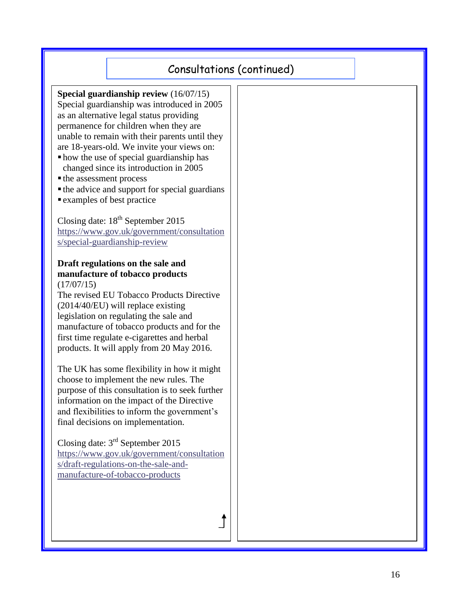# Consultations (continued)

**Special guardianship review** (16/07/15) Special guardianship was introduced in 2005 as an alternative legal status providing permanence for children when they are unable to remain with their parents until they are 18-years-old. We invite your views on: how the use of special guardianship has

- changed since its introduction in 2005
- the assessment process
- the advice and support for special guardians
- examples of best practice

Closing date:  $18^{th}$  September 2015 [https://www.gov.uk/government/consultation](https://www.gov.uk/government/consultations/special-guardianship-review) [s/special-guardianship-review](https://www.gov.uk/government/consultations/special-guardianship-review)

#### **Draft regulations on the sale and manufacture of tobacco products**  $(17/07/15)$

The revised EU Tobacco Products Directive (2014/40/EU) will replace existing legislation on regulating the sale and manufacture of tobacco products and for the first time regulate e-cigarettes and herbal products. It will apply from 20 May 2016.

The UK has some flexibility in how it might choose to implement the new rules. The purpose of this consultation is to seek further information on the impact of the Directive and flexibilities to inform the government's final decisions on implementation.

Closing date: 3<sup>rd</sup> September 2015 [https://www.gov.uk/government/consultation](https://www.gov.uk/government/consultations/draft-regulations-on-the-sale-and-manufacture-of-tobacco-products) [s/draft-regulations-on-the-sale-and](https://www.gov.uk/government/consultations/draft-regulations-on-the-sale-and-manufacture-of-tobacco-products)[manufacture-of-tobacco-products](https://www.gov.uk/government/consultations/draft-regulations-on-the-sale-and-manufacture-of-tobacco-products)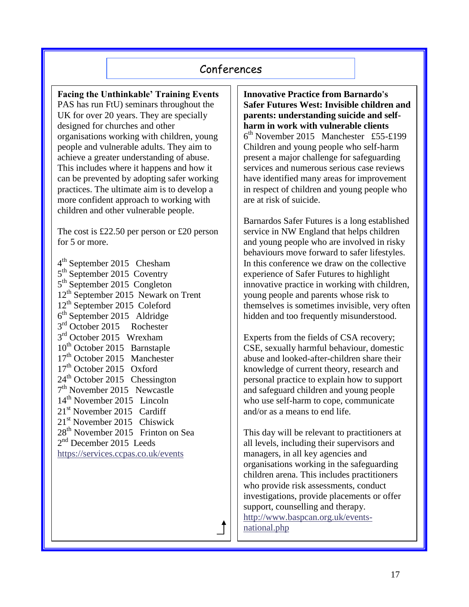## Conferences

**Facing the Unthinkable' Training Events** PAS has run FtU) seminars throughout the UK for over 20 years. They are specially designed for churches and other organisations working with children, young people and vulnerable adults. They aim to achieve a greater understanding of abuse. This includes where it happens and how it can be prevented by adopting safer working practices. The ultimate aim is to develop a more confident approach to working with children and other vulnerable people.

The cost is £22.50 per person or £20 person for 5 or more.

4<sup>th</sup> September 2015 Chesham 5<sup>th</sup> September 2015 Coventry 5<sup>th</sup> September 2015 Congleton  $12<sup>th</sup>$  September 2015 Newark on Trent 12<sup>th</sup> September 2015 Coleford 6 th September 2015 Aldridge 3<sup>rd</sup> October 2015 Rochester 3<sup>rd</sup> October 2015 Wrexham  $10^{th}$  October 2015 Barnstaple 17<sup>th</sup> October 2015 Manchester 17<sup>th</sup> October 2015 Oxford 24<sup>th</sup> October 2015 Chessington 7<sup>th</sup> November 2015 Newcastle 14<sup>th</sup> November 2015 Lincoln  $21<sup>st</sup>$  November 2015 Cardiff 21st November 2015 Chiswick 28<sup>th</sup> November 2015 Frinton on Sea 2<sup>nd</sup> December 2015 Leeds <https://services.ccpas.co.uk/events>

**Innovative Practice from Barnardo's Safer Futures West: Invisible children and parents: understanding suicide and selfharm in work with vulnerable clients**  6 th November 2015 Manchester £55-£199 Children and young people who self-harm present a major challenge for safeguarding services and numerous serious case reviews have identified many areas for improvement in respect of children and young people who are at risk of suicide.

Barnardos Safer Futures is a long established service in NW England that helps children and young people who are involved in risky behaviours move forward to safer lifestyles. In this conference we draw on the collective experience of Safer Futures to highlight innovative practice in working with children, young people and parents whose risk to themselves is sometimes invisible, very often hidden and too frequently misunderstood.

Experts from the fields of CSA recovery; CSE, sexually harmful behaviour, domestic abuse and looked-after-children share their knowledge of current theory, research and personal practice to explain how to support and safeguard children and young people who use self-harm to cope, communicate and/or as a means to end life.

This day will be relevant to practitioners at all levels, including their supervisors and managers, in all key agencies and organisations working in the safeguarding children arena. This includes practitioners who provide risk assessments, conduct investigations, provide placements or offer support, counselling and therapy. [http://www.baspcan.org.uk/events](http://www.baspcan.org.uk/events-national.php)[national.php](http://www.baspcan.org.uk/events-national.php)

17